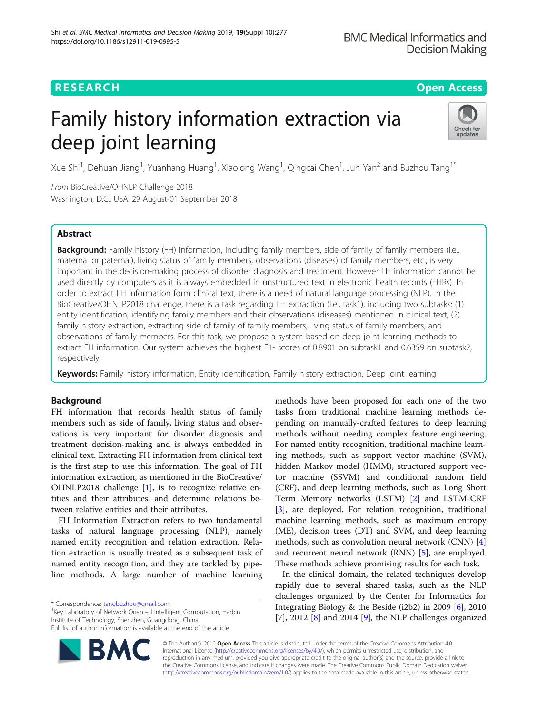# RESEARCH **RESEARCH CONSUMING THE CONSUMING THE CONSUMING THE CONSUMING TEAM Open Access**

# Family history information extraction via deep joint learning



Xue Shi<sup>1</sup>, Dehuan Jiang<sup>1</sup>, Yuanhang Huang<sup>1</sup>, Xiaolong Wang<sup>1</sup>, Qingcai Chen<sup>1</sup>, Jun Yan<sup>2</sup> and Buzhou Tang<sup>1\*</sup>

From BioCreative/OHNLP Challenge 2018 Washington, D.C., USA. 29 August-01 September 2018

# Abstract

Background: Family history (FH) information, including family members, side of family of family members (i.e., maternal or paternal), living status of family members, observations (diseases) of family members, etc., is very important in the decision-making process of disorder diagnosis and treatment. However FH information cannot be used directly by computers as it is always embedded in unstructured text in electronic health records (EHRs). In order to extract FH information form clinical text, there is a need of natural language processing (NLP). In the BioCreative/OHNLP2018 challenge, there is a task regarding FH extraction (i.e., task1), including two subtasks: (1) entity identification, identifying family members and their observations (diseases) mentioned in clinical text; (2) family history extraction, extracting side of family of family members, living status of family members, and observations of family members. For this task, we propose a system based on deep joint learning methods to extract FH information. Our system achieves the highest F1- scores of 0.8901 on subtask1 and 0.6359 on subtask2, respectively.

Keywords: Family history information, Entity identification, Family history extraction, Deep joint learning

# Background

FH information that records health status of family members such as side of family, living status and observations is very important for disorder diagnosis and treatment decision-making and is always embedded in clinical text. Extracting FH information from clinical text is the first step to use this information. The goal of FH information extraction, as mentioned in the BioCreative/ OHNLP2018 challenge [[1\]](#page-5-0), is to recognize relative entities and their attributes, and determine relations between relative entities and their attributes.

FH Information Extraction refers to two fundamental tasks of natural language processing (NLP), namely named entity recognition and relation extraction. Relation extraction is usually treated as a subsequent task of named entity recognition, and they are tackled by pipeline methods. A large number of machine learning

<sup>1</sup> Key Laboratory of Network Oriented Intelligent Computation, Harbin Institute of Technology, Shenzhen, Guangdong, China Full list of author information is available at the end of the article

methods have been proposed for each one of the two tasks from traditional machine learning methods depending on manually-crafted features to deep learning methods without needing complex feature engineering. For named entity recognition, traditional machine learning methods, such as support vector machine (SVM), hidden Markov model (HMM), structured support vector machine (SSVM) and conditional random field (CRF), and deep learning methods, such as Long Short Term Memory networks (LSTM) [\[2\]](#page-5-0) and LSTM-CRF [[3\]](#page-5-0), are deployed. For relation recognition, traditional machine learning methods, such as maximum entropy (ME), decision trees (DT) and SVM, and deep learning methods, such as convolution neural network (CNN) [\[4](#page-5-0)] and recurrent neural network (RNN) [[5\]](#page-5-0), are employed. These methods achieve promising results for each task.

In the clinical domain, the related techniques develop rapidly due to several shared tasks, such as the NLP challenges organized by the Center for Informatics for Integrating Biology & the Beside (i2b2) in 2009 [[6\]](#page-5-0), 2010 [[7\]](#page-5-0), 2012 [\[8](#page-5-0)] and 2014 [[9\]](#page-5-0), the NLP challenges organized

© The Author(s). 2019 **Open Access** This article is distributed under the terms of the Creative Commons Attribution 4.0 International License [\(http://creativecommons.org/licenses/by/4.0/](http://creativecommons.org/licenses/by/4.0/)), which permits unrestricted use, distribution, and reproduction in any medium, provided you give appropriate credit to the original author(s) and the source, provide a link to the Creative Commons license, and indicate if changes were made. The Creative Commons Public Domain Dedication waiver [\(http://creativecommons.org/publicdomain/zero/1.0/](http://creativecommons.org/publicdomain/zero/1.0/)) applies to the data made available in this article, unless otherwise stated.

<sup>\*</sup> Correspondence: [tangbuzhou@gmail.com](mailto:tangbuzhou@gmail.com) <sup>1</sup>

**BM**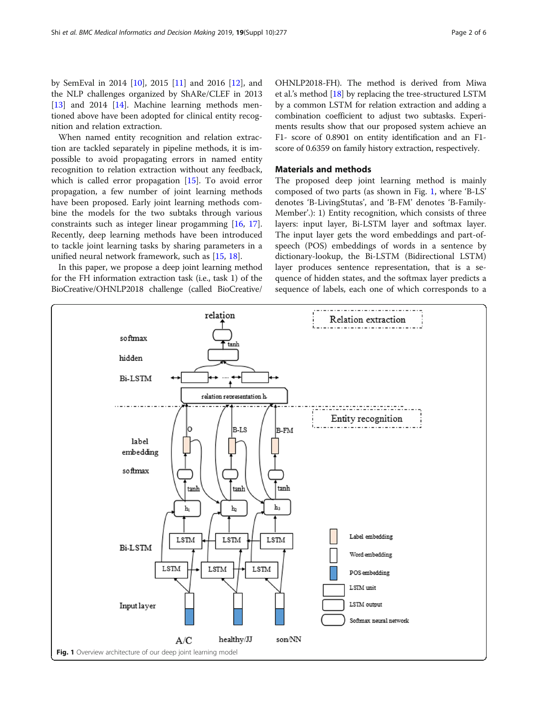by SemEval in 2014 [[10](#page-5-0)], 2015 [[11](#page-5-0)] and 2016 [\[12](#page-5-0)], and the NLP challenges organized by ShARe/CLEF in 2013 [[13\]](#page-5-0) and 20[14](#page-5-0) [14]. Machine learning methods mentioned above have been adopted for clinical entity recognition and relation extraction.

When named entity recognition and relation extraction are tackled separately in pipeline methods, it is impossible to avoid propagating errors in named entity recognition to relation extraction without any feedback, which is called error propagation [\[15](#page-5-0)]. To avoid error propagation, a few number of joint learning methods have been proposed. Early joint learning methods combine the models for the two subtaks through various constraints such as integer linear progamming [\[16](#page-5-0), [17](#page-5-0)]. Recently, deep learning methods have been introduced to tackle joint learning tasks by sharing parameters in a unified neural network framework, such as [\[15](#page-5-0), [18](#page-5-0)].

In this paper, we propose a deep joint learning method for the FH information extraction task (i.e., task 1) of the BioCreative/OHNLP2018 challenge (called BioCreative/ OHNLP2018-FH). The method is derived from Miwa et al.'s method [\[18\]](#page-5-0) by replacing the tree-structured LSTM by a common LSTM for relation extraction and adding a combination coefficient to adjust two subtasks. Experiments results show that our proposed system achieve an F1- score of 0.8901 on entity identification and an F1 score of 0.6359 on family history extraction, respectively.

#### Materials and methods

The proposed deep joint learning method is mainly composed of two parts (as shown in Fig. 1, where 'B-LS' denotes 'B-LivingStutas', and 'B-FM' denotes 'B-Family-Member'.): 1) Entity recognition, which consists of three layers: input layer, Bi-LSTM layer and softmax layer. The input layer gets the word embeddings and part-ofspeech (POS) embeddings of words in a sentence by dictionary-lookup, the Bi-LSTM (Bidirectional LSTM) layer produces sentence representation, that is a sequence of hidden states, and the softmax layer predicts a sequence of labels, each one of which corresponds to a

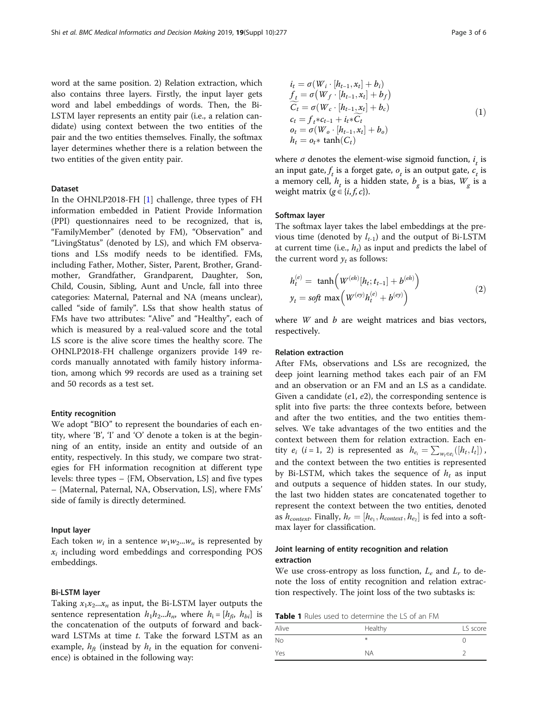<span id="page-2-0"></span>word at the same position. 2) Relation extraction, which also contains three layers. Firstly, the input layer gets word and label embeddings of words. Then, the Bi-LSTM layer represents an entity pair (i.e., a relation candidate) using context between the two entities of the pair and the two entities themselves. Finally, the softmax layer determines whether there is a relation between the two entities of the given entity pair.

#### Dataset

In the OHNLP2018-FH [[1\]](#page-5-0) challenge, three types of FH information embedded in Patient Provide Information (PPI) questionnaires need to be recognized, that is, "FamilyMember" (denoted by FM), "Observation" and "LivingStatus" (denoted by LS), and which FM observations and LSs modify needs to be identified. FMs, including Father, Mother, Sister, Parent, Brother, Grandmother, Grandfather, Grandparent, Daughter, Son, Child, Cousin, Sibling, Aunt and Uncle, fall into three categories: Maternal, Paternal and NA (means unclear), called "side of family". LSs that show health status of FMs have two attributes: "Alive" and "Healthy", each of which is measured by a real-valued score and the total LS score is the alive score times the healthy score. The OHNLP2018-FH challenge organizers provide 149 records manually annotated with family history information, among which 99 records are used as a training set and 50 records as a test set.

#### Entity recognition

We adopt "BIO" to represent the boundaries of each entity, where 'B', 'I' and 'O' denote a token is at the beginning of an entity, inside an entity and outside of an entity, respectively. In this study, we compare two strategies for FH information recognition at different type levels: three types – {FM, Observation, LS} and five types – {Maternal, Paternal, NA, Observation, LS}, where FMs' side of family is directly determined.

#### Input layer

Each token  $w_i$  in a sentence  $w_1w_2...w_n$  is represented by  $x_i$  including word embeddings and corresponding POS embeddings.

#### Bi-LSTM layer

Taking  $x_1x_2...x_n$  as input, the Bi-LSTM layer outputs the sentence representation  $h_1h_2...h_n$ , where  $h_i = [h_{fi}, h_{bi}]$  is the concatenation of the outputs of forward and backward LSTMs at time  $t$ . Take the forward LSTM as an example,  $h_{ft}$  (instead by  $h_t$  in the equation for convenience) is obtained in the following way:

$$
i_{t} = \sigma(W_{i} \cdot [h_{t-1}, x_{t}] + b_{i})
$$
  
\n
$$
f_{t} = \sigma(W_{f} \cdot [h_{t-1}, x_{t}] + b_{f})
$$
  
\n
$$
\widetilde{C}_{t} = \sigma(W_{c} \cdot [h_{t-1}, x_{t}] + b_{c})
$$
  
\n
$$
c_{t} = f_{t} * c_{t-1} + i_{t} * \widetilde{C}_{t}
$$
  
\n
$$
o_{t} = \sigma(W_{o} \cdot [h_{t-1}, x_{t}] + b_{o})
$$
  
\n
$$
h_{t} = o_{t} * \tanh(C_{t})
$$
\n(1)

where  $\sigma$  denotes the element-wise sigmoid function,  $i_t$  is<br>an input gate, f is a forget gate, q is an output gate, c is an input gate,  $f_t$  is a forget gate,  $o_t$  is an output gate,  $c_t$  is a memory cell.  $h$  is a hidden state,  $h$  is a hias. W is a a memory cell,  $h_t$  is a hidden state,  $b_g$  is a bias,  $W_g$  is a weight matrix ( $\sigma \in \{i, f, c\}$ ) g weight matrix  $(g \in \{i, f, c\})$ .

#### Softmax layer

The softmax layer takes the label embeddings at the previous time (denoted by  $l_{t-1}$ ) and the output of Bi-LSTM at current time (i.e.,  $h_t$ ) as input and predicts the label of the current word  $y_t$  as follows:

$$
h_t^{(e)} = \tanh\left(W^{(eh)}[h_t; t_{t-1}] + b^{(eh)}\right) \ny_t = soft \max\left(W^{(e y)}h_t^{(e)} + b^{(e y)}\right)
$$
\n(2)

where  $W$  and  $b$  are weight matrices and bias vectors, respectively.

#### Relation extraction

After FMs, observations and LSs are recognized, the deep joint learning method takes each pair of an FM and an observation or an FM and an LS as a candidate. Given a candidate  $(e1, e2)$ , the corresponding sentence is split into five parts: the three contexts before, between and after the two entities, and the two entities themselves. We take advantages of the two entities and the context between them for relation extraction. Each entity  $e_i$  (*i* = 1, 2) is represented as  $h_{e_i} = \sum_{w_i \in e_i} ([h_t, l_t])$ and the context between the two entities is represented by Bi-LSTM, which takes the sequence of  $h_t$  as input and outputs a sequence of hidden states. In our study, the last two hidden states are concatenated together to represent the context between the two entities, denoted as  $h_{context}$ . Finally,  $h_r = [h_{e_1}, h_{context}, h_{e_2}]$  is fed into a softmax layer for classification.

### Joint learning of entity recognition and relation extraction

We use cross-entropy as loss function,  $L_e$  and  $L_r$  to denote the loss of entity recognition and relation extraction respectively. The joint loss of the two subtasks is:

Table 1 Rules used to determine the LS of an FM

| Alive | Healthy   | LS score |
|-------|-----------|----------|
| No    | $*$       |          |
| Yes   | <b>NA</b> |          |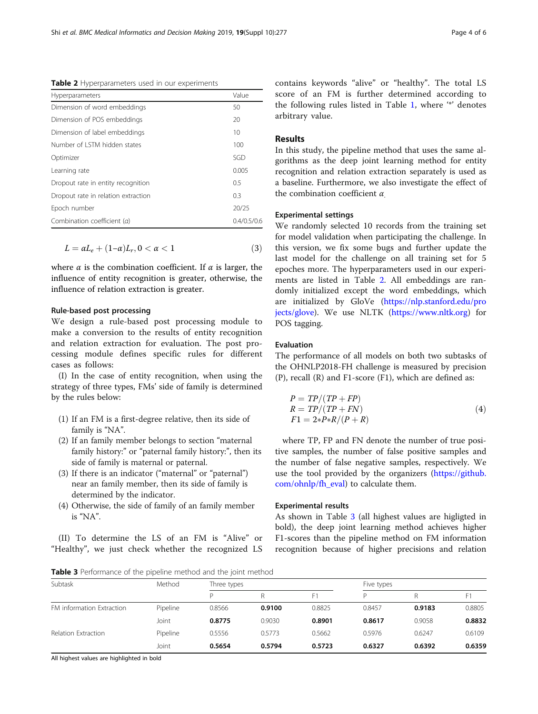Table 2 Hyperparameters used in our experiments

| Hyperparameters                     | Value       |
|-------------------------------------|-------------|
| Dimension of word embeddings        | 50          |
| Dimension of POS embeddings         | 20          |
| Dimension of label embeddings       | 10          |
| Number of ISTM hidden states        | 100         |
| Optimizer                           | SGD         |
| Learning rate                       | 0.005       |
| Dropout rate in entity recognition  | 0.5         |
| Dropout rate in relation extraction | 0.3         |
| Epoch number                        | 20/25       |
| Combination coefficient (a)         | 0.4/0.5/0.6 |

$$
L = \alpha L_e + (1 - \alpha)L_r, 0 < \alpha < 1 \tag{3}
$$

where  $\alpha$  is the combination coefficient. If  $\alpha$  is larger, the influence of entity recognition is greater, otherwise, the influence of relation extraction is greater.

#### Rule-based post processing

We design a rule-based post processing module to make a conversion to the results of entity recognition and relation extraction for evaluation. The post processing module defines specific rules for different cases as follows:

(I) In the case of entity recognition, when using the strategy of three types, FMs' side of family is determined by the rules below:

- (1) If an FM is a first-degree relative, then its side of family is "NA".
- (2) If an family member belongs to section "maternal family history:" or "paternal family history:", then its side of family is maternal or paternal.
- (3) If there is an indicator ("maternal" or "paternal") near an family member, then its side of family is determined by the indicator.
- (4) Otherwise, the side of family of an family member is "NA".

(II) To determine the LS of an FM is "Alive" or "Healthy", we just check whether the recognized LS contains keywords "alive" or "healthy". The total LS score of an FM is further determined according to the following rules listed in Table [1](#page-2-0), where '\*' denotes arbitrary value.

## Results

In this study, the pipeline method that uses the same algorithms as the deep joint learning method for entity recognition and relation extraction separately is used as a baseline. Furthermore, we also investigate the effect of the combination coefficient  $\alpha$ 

#### Experimental settings

We randomly selected 10 records from the training set for model validation when participating the challenge. In this version, we fix some bugs and further update the last model for the challenge on all training set for 5 epoches more. The hyperparameters used in our experiments are listed in Table 2. All embeddings are randomly initialized except the word embeddings, which are initialized by GloVe ([https://nlp.stanford.edu/pro](https://nlp.stanford.edu/projects/glove) [jects/glove\)](https://nlp.stanford.edu/projects/glove). We use NLTK ([https://www.nltk.org\)](https://www.nltk.org) for POS tagging.

#### Evaluation

The performance of all models on both two subtasks of the OHNLP2018-FH challenge is measured by precision (P), recall (R) and F1-score (F1), which are defined as:

$$
P = TP/(TP + FP)
$$
  
\n
$$
R = TP/(TP + FN)
$$
  
\n
$$
F1 = 2 \cdot P \cdot R/(P + R)
$$
\n(4)

where TP, FP and FN denote the number of true positive samples, the number of false positive samples and the number of false negative samples, respectively. We use the tool provided by the organizers [\(https://github.](https://github.com/ohnlp/fh_eval) [com/ohnlp/fh\\_eval\)](https://github.com/ohnlp/fh_eval) to calculate them.

#### Experimental results

As shown in Table 3 (all highest values are higligted in bold), the deep joint learning method achieves higher F1-scores than the pipeline method on FM information recognition because of higher precisions and relation

Table 3 Performance of the pipeline method and the joint method

| Subtask                   | Method   | Three types |        |                | Five types |        |        |
|---------------------------|----------|-------------|--------|----------------|------------|--------|--------|
|                           |          | D           |        | F <sub>1</sub> | D          |        | F1     |
| FM information Extraction | Pipeline | 0.8566      | 0.9100 | 0.8825         | 0.8457     | 0.9183 | 0.8805 |
|                           | Joint    | 0.8775      | 0.9030 | 0.8901         | 0.8617     | 0.9058 | 0.8832 |
| Relation Extraction       | Pipeline | 0.5556      | 0.5773 | 0.5662         | 0.5976     | 0.6247 | 0.6109 |
|                           | Joint    | 0.5654      | 0.5794 | 0.5723         | 0.6327     | 0.6392 | 0.6359 |

All highest values are highlighted in bold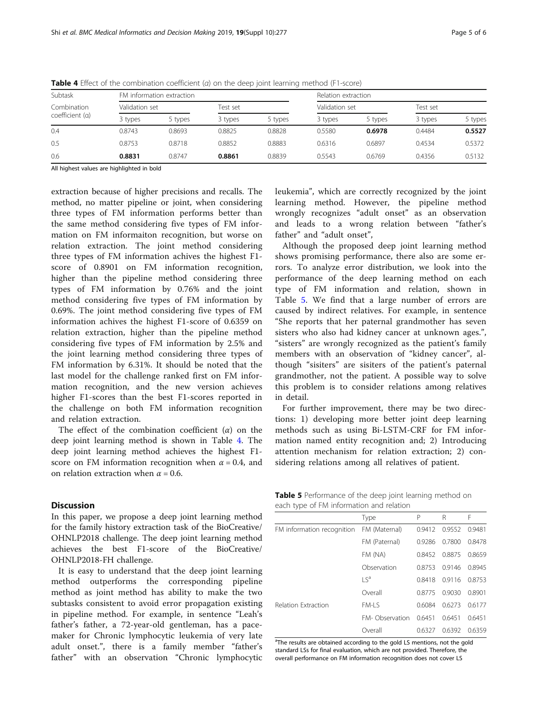| Subtask         | FM information extraction |                |         |          | Relation extraction |                |                    |          |  |
|-----------------|---------------------------|----------------|---------|----------|---------------------|----------------|--------------------|----------|--|
| Combination     |                           | Validation set |         | Test set |                     | Validation set |                    | Test set |  |
| coefficient (a) | 3 types                   | 5 types        | 3 types | 5 types  | 3 types             | 5 types        | 3 types<br>5 types |          |  |
| 0.4             | 0.8743                    | 0.8693         | 0.8825  | 0.8828   | 0.5580              | 0.6978         | 0.4484             | 0.5527   |  |
| 0.5             | 0.8753                    | 0.8718         | 0.8852  | 0.8883   | 0.6316              | 0.6897         | 0.4534             | 0.5372   |  |
| 0.6             | 0.8831                    | 0.8747         | 0.8861  | 0.8839   | 0.5543              | 0.6769         | 0.4356             | 0.5132   |  |

**Table 4** Effect of the combination coefficient ( $a$ ) on the deep joint learning method (F1-score)

All highest values are highlighted in bold

extraction because of higher precisions and recalls. The method, no matter pipeline or joint, when considering three types of FM information performs better than the same method considering five types of FM information on FM informaiton recognition, but worse on relation extraction. The joint method considering three types of FM information achives the highest F1 score of 0.8901 on FM information recognition, higher than the pipeline method considering three types of FM information by 0.76% and the joint method considering five types of FM information by 0.69%. The joint method considering five types of FM information achives the highest F1-score of 0.6359 on relation extraction, higher than the pipeline method considering five types of FM information by 2.5% and the joint learning method considering three types of FM information by 6.31%. It should be noted that the last model for the challenge ranked first on FM information recognition, and the new version achieves higher F1-scores than the best F1-scores reported in the challenge on both FM information recognition and relation extraction.

The effect of the combination coefficient  $(\alpha)$  on the deep joint learning method is shown in Table 4. The deep joint learning method achieves the highest F1 score on FM information recognition when  $\alpha = 0.4$ , and on relation extraction when  $\alpha$  = 0.6.

#### **Discussion**

In this paper, we propose a deep joint learning method for the family history extraction task of the BioCreative/ OHNLP2018 challenge. The deep joint learning method achieves the best F1-score of the BioCreative/ OHNLP2018-FH challenge.

It is easy to understand that the deep joint learning method outperforms the corresponding pipeline method as joint method has ability to make the two subtasks consistent to avoid error propagation existing in pipeline method. For example, in sentence "Leah's father's father, a 72-year-old gentleman, has a pacemaker for Chronic lymphocytic leukemia of very late adult onset.", there is a family member "father's father" with an observation "Chronic lymphocytic leukemia", which are correctly recognized by the joint learning method. However, the pipeline method wrongly recognizes "adult onset" as an observation and leads to a wrong relation between "father's father" and "adult onset",

Although the proposed deep joint learning method shows promising performance, there also are some errors. To analyze error distribution, we look into the performance of the deep learning method on each type of FM information and relation, shown in Table 5. We find that a large number of errors are caused by indirect relatives. For example, in sentence "She reports that her paternal grandmother has seven sisters who also had kidney cancer at unknown ages.", "sisters" are wrongly recognized as the patient's family members with an observation of "kidney cancer", although "sisiters" are sisiters of the patient's paternal grandmother, not the patient. A possible way to solve this problem is to consider relations among relatives in detail.

For further improvement, there may be two directions: 1) developing more better joint deep learning methods such as using Bi-LSTM-CRF for FM information named entity recognition and; 2) Introducing attention mechanism for relation extraction; 2) considering relations among all relatives of patient.

| Table 5 Performance of the deep joint learning method on |  |
|----------------------------------------------------------|--|
| each type of FM information and relation                 |  |

| $\overline{\phantom{a}}$   |                           |        |        |        |
|----------------------------|---------------------------|--------|--------|--------|
|                            | Type                      | P      | R      | F      |
| FM information recognition | FM (Maternal)             | 0.9412 | 0.9552 | 0.9481 |
|                            | FM (Paternal)             | 0.9286 | 0.7800 | 0.8478 |
|                            | FM (NA)                   | 0.8452 | 0.8875 | 0.8659 |
|                            | Observation               | 0.8753 | 0.9146 | 0.8945 |
|                            | $\mathsf{I} \mathsf{S}^a$ | 0.8418 | 0.9116 | 0.8753 |
|                            | Overall                   | 0.8775 | 0.9030 | 0.8901 |
| Relation Extraction        | FM-LS                     | 0.6084 | 0.6273 | 0.6177 |
|                            | FM-Observation            | 0.6451 | 0.6451 | 0.6451 |
|                            | Overall                   | 0.6327 | 0.6392 | 0.6359 |

<sup>a</sup>The results are obtained according to the gold LS mentions, not the gold standard LSs for final evaluation, which are not provided. Therefore, the overall performance on FM information recognition does not cover LS